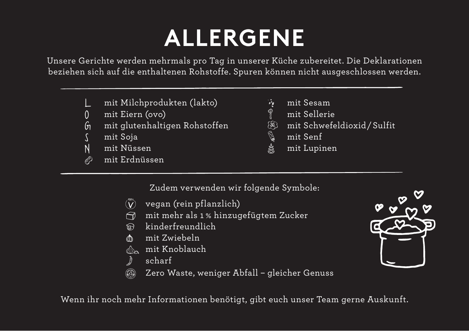## **ALLERGENE**

Unsere Gerichte werden mehrmals pro Tag in unserer Küche zubereitet. Die Deklarationen beziehen sich auf die enthaltenen Rohstoffe. Spuren können nicht ausgeschlossen werden.

- mit Milchprodukten (lakto)
- O mit Eiern (ovo)
- $G_1$  mit glutenhaltigen Rohstoffen
- S mit Soja<br>N mit Nüss
- mit Nüssen
- $\mathscr{O}$  mit Erdnüssen
- og mit Sesam<br>† mit Selleri
	-
- ී mit Sellerie<br>③ mit Schwefe **8 mit Schwefeldioxid/Sulfit**<br>• mit Senf<br>• mit Lupinen
- mit Senf
- 6 mit Lupinen

Zudem verwenden wir folgende Symbole:

- V 100**%** vegan (rein pflanzlich)
- $\widehat{\bigcirc}$  mit mehr als 1 % hinzugefügtem Zucker
- 9 kinderfreundlich
- 1 mit Zwiebeln
- $\overline{\mathbb{A}}$  mit Knoblauch
- scharf
- Zero Waste, weniger Abfall gleicher Genuss  $(\mathbb{R}^2)$

Wenn ihr noch mehr Informationen benötigt, gibt euch unser Team gerne Auskunft.